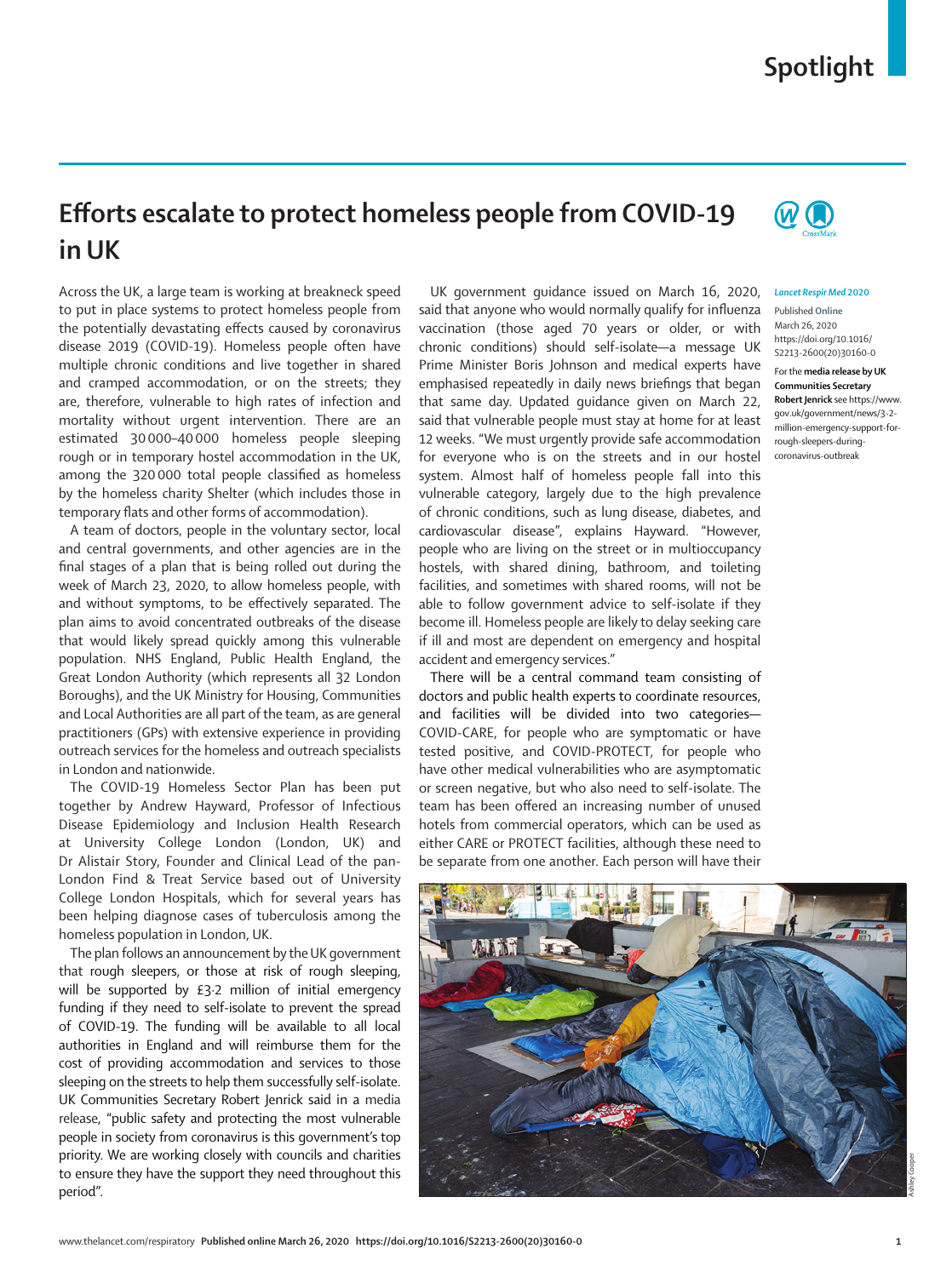## **Spotlight**

## **Efforts escalate to protect homeless people from COVID-19 in UK**



## *Lancet Respir Med* **2020**

Published **Online** March 26, 2020 https://doi.org/10.1016/ S2213-2600(20)30160-0

For the **media release by UK Communities Secretary Robert Jenrick** see https://www. gov.uk/government/news/3-2 million-emergency-support-forrough-sleepers-duringcoronavirus-outbreak

Across the UK, a large team is working at breakneck speed to put in place systems to protect homeless people from the potentially devastating effects caused by coronavirus disease 2019 (COVID-19). Homeless people often have multiple chronic conditions and live together in shared and cramped accommodation, or on the streets; they are, therefore, vulnerable to high rates of infection and mortality without urgent intervention. There are an estimated 30 000–40 000 homeless people sleeping rough or in temporary hostel accommodation in the UK, among the 320 000 total people classified as homeless by the homeless charity Shelter (which includes those in temporary flats and other forms of accommodation).

A team of doctors, people in the voluntary sector, local and central governments, and other agencies are in the final stages of a plan that is being rolled out during the week of March 23, 2020, to allow homeless people, with and without symptoms, to be effectively separated. The plan aims to avoid concentrated outbreaks of the disease that would likely spread quickly among this vulnerable population. NHS England, Public Health England, the Great London Authority (which represents all 32 London Boroughs), and the UK Ministry for Housing, Communities and Local Authorities are all part of the team, as are general practitioners (GPs) with extensive experience in providing outreach services for the homeless and outreach specialists in London and nationwide.

The COVID-19 Homeless Sector Plan has been put together by Andrew Hayward, Professor of Infectious Disease Epidemiology and Inclusion Health Research at University College London (London, UK) and Dr Alistair Story, Founder and Clinical Lead of the pan-London Find & Treat Service based out of University College London Hospitals, which for several years has been helping diagnose cases of tuberculosis among the homeless population in London, UK.

The plan follows an announcement by the UK government that rough sleepers, or those at risk of rough sleeping, will be supported by £3.2 million of initial emergency funding if they need to self-isolate to prevent the spread of COVID-19. The funding will be available to all local authorities in England and will reimburse them for the cost of providing accommodation and services to those sleeping on the streets to help them successfully self-isolate. UK Communities Secretary Robert Jenrick said in a media release, "public safety and protecting the most vulnerable people in society from coronavirus is this government's top priority. We are working closely with councils and charities to ensure they have the support they need throughout this period".

UK government guidance issued on March 16, 2020, said that anyone who would normally qualify for influenza vaccination (those aged 70 years or older, or with chronic conditions) should self-isolate—a message UK Prime Minister Boris Johnson and medical experts have emphasised repeatedly in daily news briefings that began that same day. Updated guidance given on March 22, said that vulnerable people must stay at home for at least 12 weeks. "We must urgently provide safe accommodation for everyone who is on the streets and in our hostel system. Almost half of homeless people fall into this vulnerable category, largely due to the high prevalence of chronic conditions, such as lung disease, diabetes, and cardiovascular disease", explains Hayward. "However, people who are living on the street or in multioccupancy hostels, with shared dining, bathroom, and toileting facilities, and sometimes with shared rooms, will not be able to follow government advice to self-isolate if they become ill. Homeless people are likely to delay seeking care if ill and most are dependent on emergency and hospital accident and emergency services."

There will be a central command team consisting of doctors and public health experts to coordinate resources, and facilities will be divided into two categories— COVID-CARE, for people who are symptomatic or have tested positive, and COVID-PROTECT, for people who have other medical vulnerabilities who are asymptomatic or screen negative, but who also need to self-isolate. The team has been offered an increasing number of unused hotels from commercial operators, which can be used as either CARE or PROTECT facilities, although these need to be separate from one another. Each person will have their